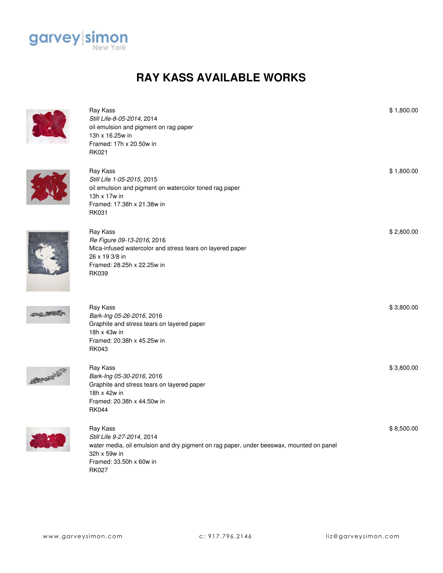

## **RAY KASS AVAILABLE WORKS**

| Ray Kass<br>Still Life-8-05-2014, 2014<br>oil emulsion and pigment on rag paper<br>13h x 16.25w in<br>Framed: 17h x 20.50w in<br><b>RK021</b>                       | \$1,800.00 |
|---------------------------------------------------------------------------------------------------------------------------------------------------------------------|------------|
| Ray Kass<br>Still Life 1-05-2015, 2015<br>oil emulsion and pigment on watercolor toned rag paper<br>13h x 17w in<br>Framed: 17.38h x 21.38w in<br><b>RK031</b>      | \$1,800.00 |
| Ray Kass<br>Re Figure 09-13-2016, 2016<br>Mica-infused watercolor and stress tears on layered paper<br>26 x 19 3/8 in<br>Framed: 28.25h x 22.25w in<br><b>RK039</b> | \$2,800.00 |
| Ray Kass<br>Bark-Ing 05-26-2016, 2016<br>Graphite and stress tears on layered paper<br>18h x 43w in<br>Framed: 20.38h x 45.25w in<br><b>RK043</b>                   | \$3,800.00 |
| Ray Kass<br>Bark-Ing 05-30-2016, 2016<br>Graphite and stress tears on layered paper<br>18h x 42w in<br>Framed: 20.38h x 44.50w in                                   | \$3,800.00 |



安全部

an millen

Ray Kass *Still Life 9-27-2014*, 2014 water media, oil emulsion and dry pigment on rag paper, under beeswax, mounted on panel 32h x 59w in Framed: 33.50h x 60w in RK027

RK044

\$ 8,500.00